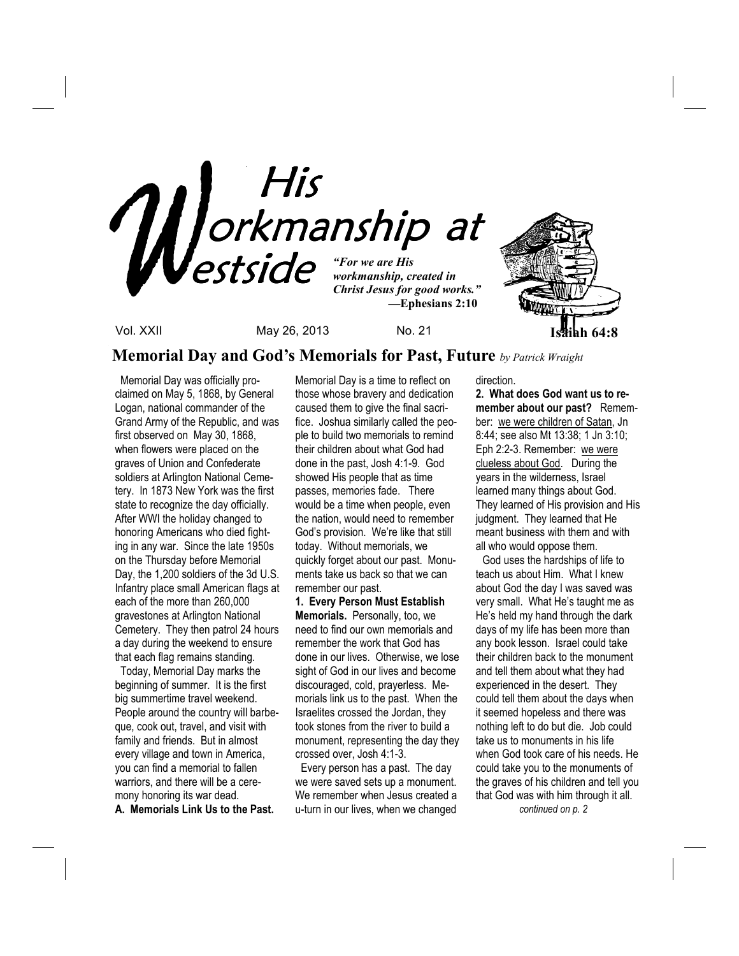

**Memorial Day and God's Memorials for Past, Future** *by Patrick Wraight*

Memorial Day was officially proclaimed on May 5, 1868, by General Logan, national commander of the Grand Army of the Republic, and was first observed on May 30, 1868, when flowers were placed on the graves of Union and Confederate soldiers at Arlington National Cemetery. In 1873 New York was the first state to recognize the day officially. After WWI the holiday changed to honoring Americans who died fighting in any war. Since the late 1950s on the Thursday before Memorial Day, the 1,200 soldiers of the 3d U.S. Infantry place small American flags at each of the more than 260,000 gravestones at Arlington National Cemetery. They then patrol 24 hours a day during the weekend to ensure that each flag remains standing.

 Today, Memorial Day marks the beginning of summer. It is the first big summertime travel weekend. People around the country will barbeque, cook out, travel, and visit with family and friends. But in almost every village and town in America, you can find a memorial to fallen warriors, and there will be a ceremony honoring its war dead. **A. Memorials Link Us to the Past.** 

Memorial Day is a time to reflect on those whose bravery and dedication caused them to give the final sacrifice. Joshua similarly called the people to build two memorials to remind their children about what God had done in the past, Josh 4:1-9. God showed His people that as time passes, memories fade. There would be a time when people, even the nation, would need to remember God's provision. We're like that still today. Without memorials, we quickly forget about our past. Monuments take us back so that we can remember our past.

**1. Every Person Must Establish Memorials.** Personally, too, we need to find our own memorials and remember the work that God has done in our lives. Otherwise, we lose sight of God in our lives and become discouraged, cold, prayerless. Memorials link us to the past. When the Israelites crossed the Jordan, they took stones from the river to build a monument, representing the day they crossed over, Josh 4:1-3.

 Every person has a past. The day we were saved sets up a monument. We remember when Jesus created a u-turn in our lives, when we changed

direction.

**2. What does God want us to remember about our past?** Remember: we were children of Satan, Jn 8:44; see also Mt 13:38; 1 Jn 3:10; Eph 2:2-3. Remember: we were clueless about God. During the years in the wilderness, Israel learned many things about God. They learned of His provision and His judgment. They learned that He meant business with them and with all who would oppose them.

 God uses the hardships of life to teach us about Him. What I knew about God the day I was saved was very small. What He's taught me as He's held my hand through the dark days of my life has been more than any book lesson. Israel could take their children back to the monument and tell them about what they had experienced in the desert. They could tell them about the days when it seemed hopeless and there was nothing left to do but die. Job could take us to monuments in his life when God took care of his needs. He could take you to the monuments of the graves of his children and tell you that God was with him through it all.  *continued on p. 2*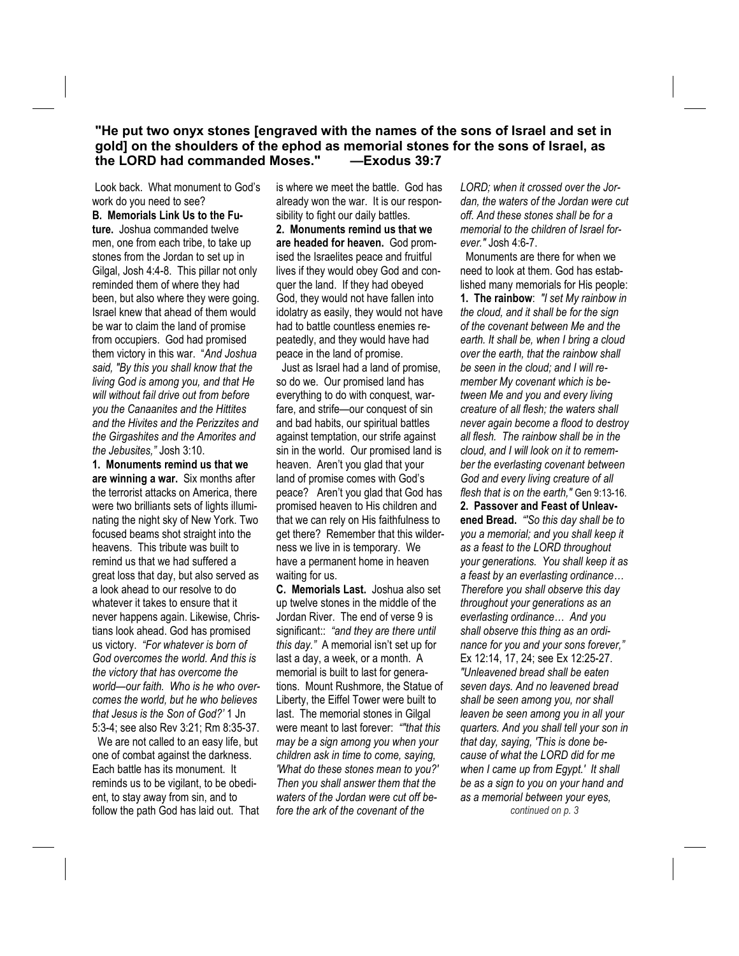### **"He put two onyx stones [engraved with the names of the sons of Israel and set in gold] on the shoulders of the ephod as memorial stones for the sons of Israel, as the LORD had commanded Moses." —Exodus 39:7**

 Look back. What monument to God's work do you need to see?

**B. Memorials Link Us to the Future.** Joshua commanded twelve men, one from each tribe, to take up stones from the Jordan to set up in Gilgal, Josh 4:4-8. This pillar not only reminded them of where they had been, but also where they were going. Israel knew that ahead of them would be war to claim the land of promise from occupiers. God had promised them victory in this war. "*And Joshua said, "By this you shall know that the living God is among you, and that He will without fail drive out from before you the Canaanites and the Hittites and the Hivites and the Perizzites and the Girgashites and the Amorites and the Jebusites,"* Josh 3:10.

**1. Monuments remind us that we are winning a war.** Six months after the terrorist attacks on America, there were two brilliants sets of lights illuminating the night sky of New York. Two focused beams shot straight into the heavens. This tribute was built to remind us that we had suffered a great loss that day, but also served as a look ahead to our resolve to do whatever it takes to ensure that it never happens again. Likewise, Christians look ahead. God has promised us victory. *"For whatever is born of God overcomes the world. And this is the victory that has overcome the world—our faith. Who is he who overcomes the world, but he who believes that Jesus is the Son of God?'* 1 Jn 5:3-4; see also Rev 3:21; Rm 8:35-37.

 We are not called to an easy life, but one of combat against the darkness. Each battle has its monument. It reminds us to be vigilant, to be obedient, to stay away from sin, and to follow the path God has laid out. That is where we meet the battle. God has already won the war. It is our responsibility to fight our daily battles. **2. Monuments remind us that we are headed for heaven.** God promised the Israelites peace and fruitful lives if they would obey God and conquer the land. If they had obeyed God, they would not have fallen into idolatry as easily, they would not have had to battle countless enemies repeatedly, and they would have had peace in the land of promise.

 Just as Israel had a land of promise, so do we. Our promised land has everything to do with conquest, warfare, and strife—our conquest of sin and bad habits, our spiritual battles against temptation, our strife against sin in the world. Our promised land is heaven. Aren't you glad that your land of promise comes with God's peace? Aren't you glad that God has promised heaven to His children and that we can rely on His faithfulness to get there? Remember that this wilderness we live in is temporary. We have a permanent home in heaven waiting for us.

**C. Memorials Last.** Joshua also set up twelve stones in the middle of the Jordan River. The end of verse 9 is significant:: *"and they are there until this day."* A memorial isn't set up for last a day, a week, or a month. A memorial is built to last for generations. Mount Rushmore, the Statue of Liberty, the Eiffel Tower were built to last. The memorial stones in Gilgal were meant to last forever: *""that this may be a sign among you when your children ask in time to come, saying, 'What do these stones mean to you?' Then you shall answer them that the waters of the Jordan were cut off before the ark of the covenant of the* 

*LORD; when it crossed over the Jordan, the waters of the Jordan were cut off. And these stones shall be for a memorial to the children of Israel forever."* Josh 4:6-7.

Monuments are there for when we need to look at them. God has established many memorials for His people: **1. The rainbow**: *"I set My rainbow in the cloud, and it shall be for the sign of the covenant between Me and the earth. It shall be, when I bring a cloud over the earth, that the rainbow shall be seen in the cloud; and I will remember My covenant which is between Me and you and every living creature of all flesh; the waters shall never again become a flood to destroy all flesh. The rainbow shall be in the cloud, and I will look on it to remember the everlasting covenant between God and every living creature of all flesh that is on the earth,"* Gen 9:13-16. **2. Passover and Feast of Unleavened Bread.** *"'So this day shall be to you a memorial; and you shall keep it as a feast to the LORD throughout your generations. You shall keep it as a feast by an everlasting ordinance… Therefore you shall observe this day throughout your generations as an everlasting ordinance… And you shall observe this thing as an ordinance for you and your sons forever,"*  Ex 12:14, 17, 24; see Ex 12:25-27. *"Unleavened bread shall be eaten seven days. And no leavened bread shall be seen among you, nor shall leaven be seen among you in all your quarters. And you shall tell your son in that day, saying, 'This is done because of what the LORD did for me when I came up from Egypt.' It shall be as a sign to you on your hand and as a memorial between your eyes, continued on p. 3*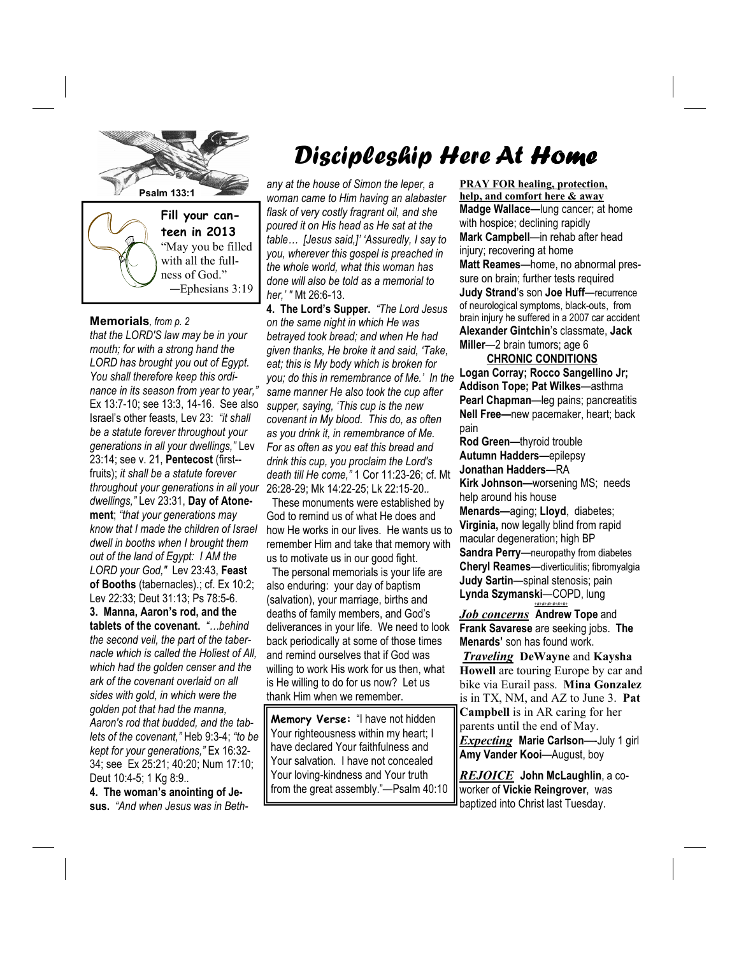

#### **Memorials***, from p. 2*

*that the LORD'S law may be in your mouth; for with a strong hand the LORD has brought you out of Egypt. You shall therefore keep this ordinance in its season from year to year,"*  Ex 13:7-10; see 13:3, 14-16. See also Israel's other feasts, Lev 23: *"it shall be a statute forever throughout your generations in all your dwellings,"* Lev 23:14; see v. 21, **Pentecost** (first- fruits); *it shall be a statute forever throughout your generations in all your dwellings,"* Lev 23:31, **Day of Atonement**; *"that your generations may know that I made the children of Israel dwell in booths when I brought them out of the land of Egypt: I AM the LORD your God,"* Lev 23:43, **Feast of Booths** (tabernacles).; cf. Ex 10:2; Lev 22:33; Deut 31:13; Ps 78:5-6. **3. Manna, Aaron's rod, and the** 

**tablets of the covenant.** *"…behind the second veil, the part of the tabernacle which is called the Holiest of All, which had the golden censer and the ark of the covenant overlaid on all sides with gold, in which were the golden pot that had the manna, Aaron's rod that budded, and the tablets of the covenant,"* Heb 9:3-4; *"to be kept for your generations,"* Ex 16:32- 34; see Ex 25:21; 40:20; Num 17:10; Deut 10:4-5; 1 Kg 8:9.*.* 

**4. The woman's anointing of Jesus.** *"And when Jesus was in Beth-* 

# Discipleship Here At Home

*any at the house of Simon the leper, a woman came to Him having an alabaster flask of very costly fragrant oil, and she poured it on His head as He sat at the table… [Jesus said,]' 'Assuredly, I say to you, wherever this gospel is preached in the whole world, what this woman has done will also be told as a memorial to her,' "* Mt 26:6-13.

**4. The Lord's Supper.** *"The Lord Jesus on the same night in which He was betrayed took bread; and when He had given thanks, He broke it and said, 'Take, eat; this is My body which is broken for you; do this in remembrance of Me.' In the same manner He also took the cup after supper, saying, 'This cup is the new covenant in My blood. This do, as often as you drink it, in remembrance of Me. For as often as you eat this bread and drink this cup, you proclaim the Lord's death till He come,"* 1 Cor 11:23-26; cf. Mt 26:28-29; Mk 14:22-25; Lk 22:15-20.*.* 

 These monuments were established by God to remind us of what He does and how He works in our lives. He wants us to remember Him and take that memory with us to motivate us in our good fight.

 The personal memorials is your life are also enduring: your day of baptism (salvation), your marriage, births and deaths of family members, and God's deliverances in your life. We need to look back periodically at some of those times and remind ourselves that if God was willing to work His work for us then, what is He willing to do for us now? Let us thank Him when we remember.

**Memory Verse:** "I have not hidden Your righteousness within my heart; I have declared Your faithfulness and Your salvation. I have not concealed Your loving-kindness and Your truth from the great assembly."—Psalm 40:10

**PRAY FOR healing, protection, help, and comfort here & away Madge Wallace—**lung cancer; at home with hospice; declining rapidly **Mark Campbell**—in rehab after head injury; recovering at home **Matt Reames**—home, no abnormal pressure on brain; further tests required **Judy Strand**'s son **Joe Huff**—recurrence of neurological symptoms, black-outs, from brain injury he suffered in a 2007 car accident **Alexander Gintchin**'s classmate, **Jack Miller**—2 brain tumors; age 6

 **CHRONIC CONDITIONS Logan Corray; Rocco Sangellino Jr; Addison Tope; Pat Wilkes**—asthma **Pearl Chapman**—leg pains; pancreatitis **Nell Free—**new pacemaker, heart; back pain

**Rod Green—**thyroid trouble **Autumn Hadders—**epilepsy **Jonathan Hadders—**RA **Kirk Johnson—**worsening MS; needs help around his house **Menards—**aging; **Lloyd**, diabetes; **Virginia,** now legally blind from rapid macular degeneration; high BP

**Sandra Perry**—neuropathy from diabetes **Cheryl Reames**—diverticulitis; fibromyalgia **Judy Sartin**—spinal stenosis; pain **Lynda Szymanski**—COPD, lung *+#+#+#+#+#+#+*

*Job concerns* **Andrew Tope** and **Frank Savarese** are seeking jobs. **The Menards'** son has found work.

*Traveling* **DeWayne** and **Kaysha Howell** are touring Europe by car and bike via Eurail pass. **Mina Gonzalez** is in TX, NM, and AZ to June 3. **Pat Campbell** is in AR caring for her parents until the end of May. *Expecting* **Marie Carlson**—-July 1 girl **Amy Vander Kooi**—August, boy

*REJOICE* **John McLaughlin**, a coworker of **Vickie Reingrover**, was baptized into Christ last Tuesday.